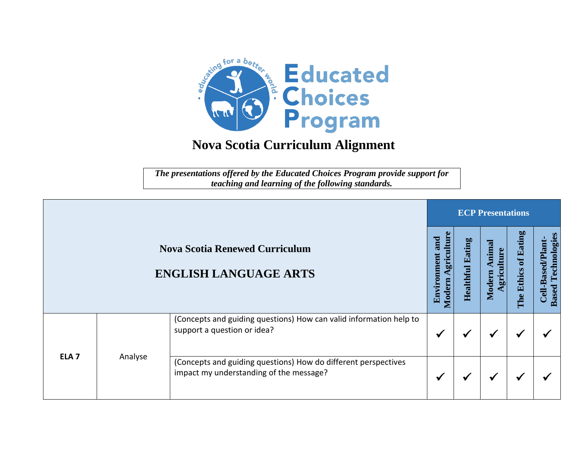

## **Nova Scotia Curriculum Alignment**

*The presentations offered by the Educated Choices Program provide support for teaching and learning of the following standards.*

|                  |         |                                                                                                           |                                            |                            | <b>ECP Presentations</b>      |                                                |                                                   |  |  |  |  |
|------------------|---------|-----------------------------------------------------------------------------------------------------------|--------------------------------------------|----------------------------|-------------------------------|------------------------------------------------|---------------------------------------------------|--|--|--|--|
|                  |         | <b>Nova Scotia Renewed Curriculum</b><br><b>ENGLISH LANGUAGE ARTS</b>                                     | Φ<br>gricultui<br>and<br>Environm<br>Ioder | Eating<br><b>Healthful</b> | Animal<br>gricultur<br>Modern | Eating<br>$\mathbf{f}$<br><b>Ethics</b><br>The | Technologies<br>Cell-Based/Plant-<br><b>Based</b> |  |  |  |  |
|                  |         | (Concepts and guiding questions) How can valid information help to<br>support a question or idea?         |                                            |                            | $\bullet$                     | ✔                                              |                                                   |  |  |  |  |
| ELA <sub>7</sub> | Analyse | (Concepts and guiding questions) How do different perspectives<br>impact my understanding of the message? |                                            |                            |                               | ✔                                              |                                                   |  |  |  |  |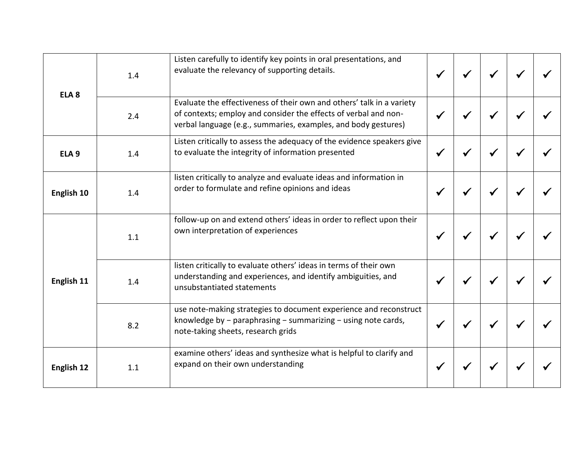| ELA <sub>8</sub> | 1.4 | Listen carefully to identify key points in oral presentations, and<br>evaluate the relevancy of supporting details.                                                                                        |  |  |  |
|------------------|-----|------------------------------------------------------------------------------------------------------------------------------------------------------------------------------------------------------------|--|--|--|
|                  | 2.4 | Evaluate the effectiveness of their own and others' talk in a variety<br>of contexts; employ and consider the effects of verbal and non-<br>verbal language (e.g., summaries, examples, and body gestures) |  |  |  |
| ELA <sub>9</sub> | 1.4 | Listen critically to assess the adequacy of the evidence speakers give<br>to evaluate the integrity of information presented                                                                               |  |  |  |
| English 10       | 1.4 | listen critically to analyze and evaluate ideas and information in<br>order to formulate and refine opinions and ideas                                                                                     |  |  |  |
|                  | 1.1 | follow-up on and extend others' ideas in order to reflect upon their<br>own interpretation of experiences                                                                                                  |  |  |  |
| English 11       | 1.4 | listen critically to evaluate others' ideas in terms of their own<br>understanding and experiences, and identify ambiguities, and<br>unsubstantiated statements                                            |  |  |  |
|                  | 8.2 | use note-making strategies to document experience and reconstruct<br>knowledge by $-$ paraphrasing $-$ summarizing $-$ using note cards,<br>note-taking sheets, research grids                             |  |  |  |
| English 12       | 1.1 | examine others' ideas and synthesize what is helpful to clarify and<br>expand on their own understanding                                                                                                   |  |  |  |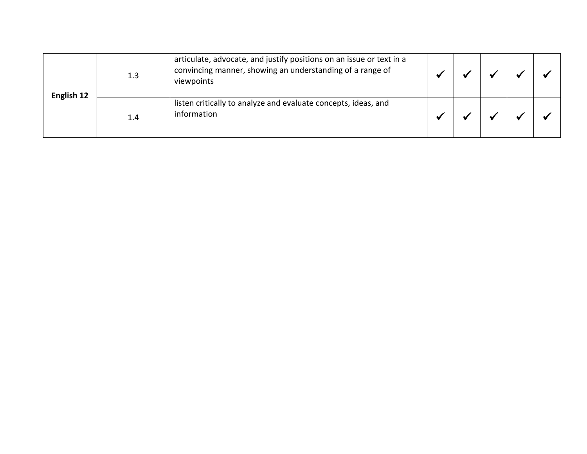| English 12 | 1.3 | articulate, advocate, and justify positions on an issue or text in a<br>convincing manner, showing an understanding of a range of<br>viewpoints |  |  |  |
|------------|-----|-------------------------------------------------------------------------------------------------------------------------------------------------|--|--|--|
|            | 1.4 | listen critically to analyze and evaluate concepts, ideas, and<br>information                                                                   |  |  |  |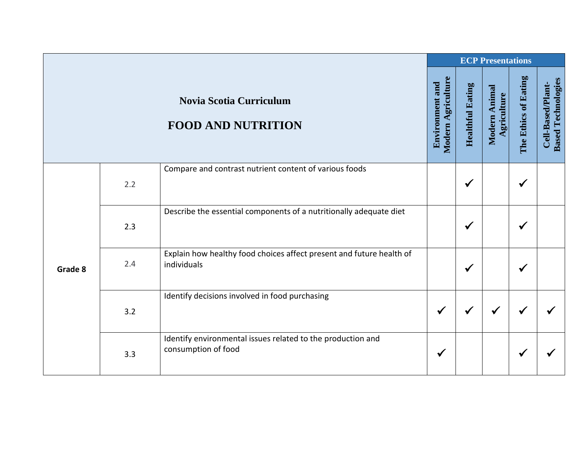|         |     |                                                                                     |                                              |                         | <b>ECP Presentations</b>     |                      |                                                |
|---------|-----|-------------------------------------------------------------------------------------|----------------------------------------------|-------------------------|------------------------------|----------------------|------------------------------------------------|
|         |     | Novia Scotia Curriculum<br><b>FOOD AND NUTRITION</b>                                | Modern Agriculture<br><b>Environment and</b> | <b>Healthful Eating</b> | Modern Animal<br>Agriculture | The Ethics of Eating | <b>Based Technologies</b><br>Cell-Based/Plant- |
|         |     | Compare and contrast nutrient content of various foods                              |                                              |                         |                              |                      |                                                |
|         | 2.2 |                                                                                     |                                              | $\checkmark$            |                              | ✔                    |                                                |
|         |     | Describe the essential components of a nutritionally adequate diet                  |                                              |                         |                              |                      |                                                |
|         | 2.3 |                                                                                     |                                              | $\checkmark$            |                              | √                    |                                                |
|         | 2.4 | Explain how healthy food choices affect present and future health of<br>individuals |                                              |                         |                              |                      |                                                |
| Grade 8 |     |                                                                                     |                                              | $\checkmark$            |                              | $\checkmark$         |                                                |
|         |     | Identify decisions involved in food purchasing                                      |                                              |                         |                              |                      |                                                |
|         | 3.2 |                                                                                     | $\checkmark$                                 | $\checkmark$            | $\checkmark$                 | $\checkmark$         |                                                |
|         | 3.3 | Identify environmental issues related to the production and<br>consumption of food  | $\checkmark$                                 |                         |                              | $\checkmark$         |                                                |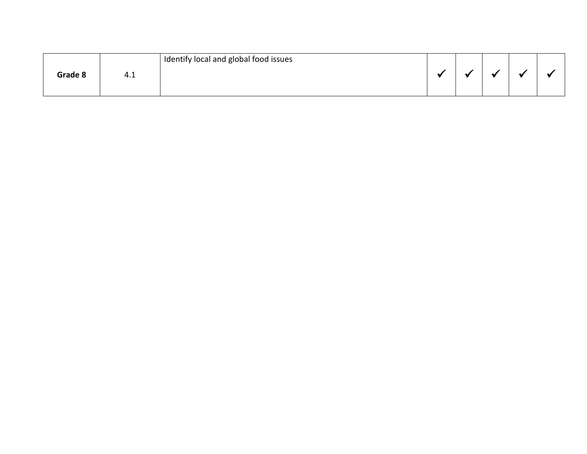|         |     | Identify local and global food issues |  |  |  |
|---------|-----|---------------------------------------|--|--|--|
| Grade 8 | 4.1 |                                       |  |  |  |
|         |     |                                       |  |  |  |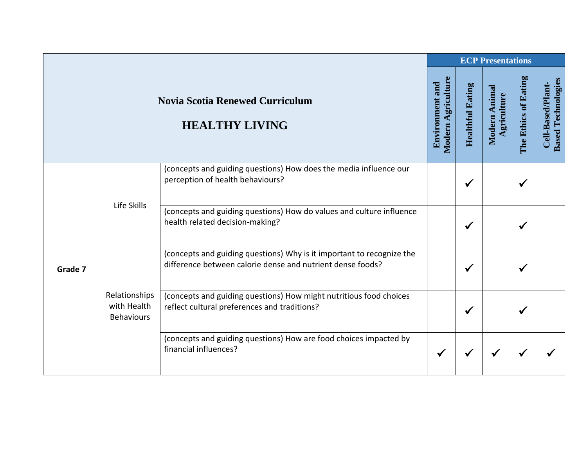|         |                                                                                                                                      |                                                                                                                                     |              |                         | <b>ECP Presentations</b>     |                      |                                                |
|---------|--------------------------------------------------------------------------------------------------------------------------------------|-------------------------------------------------------------------------------------------------------------------------------------|--------------|-------------------------|------------------------------|----------------------|------------------------------------------------|
|         | <b>Novia Scotia Renewed Curriculum</b><br><b>HEALTHY LIVING</b><br>(concepts and guiding questions) How does the media influence our |                                                                                                                                     |              | <b>Healthful Eating</b> | Modern Animal<br>Agriculture | The Ethics of Eating | <b>Based Technologies</b><br>Cell-Based/Plant- |
| Grade 7 |                                                                                                                                      | perception of health behaviours?                                                                                                    |              | ✔                       |                              |                      |                                                |
|         | Life Skills<br>health related decision-making?                                                                                       | (concepts and guiding questions) How do values and culture influence                                                                |              | $\checkmark$            |                              | √                    |                                                |
|         |                                                                                                                                      | (concepts and guiding questions) Why is it important to recognize the<br>difference between calorie dense and nutrient dense foods? |              | $\checkmark$            |                              |                      |                                                |
|         | Relationships<br>with Health<br><b>Behaviours</b>                                                                                    | (concepts and guiding questions) How might nutritious food choices<br>reflect cultural preferences and traditions?                  |              | ✔                       |                              |                      |                                                |
|         |                                                                                                                                      | (concepts and guiding questions) How are food choices impacted by<br>financial influences?                                          | $\checkmark$ |                         |                              |                      |                                                |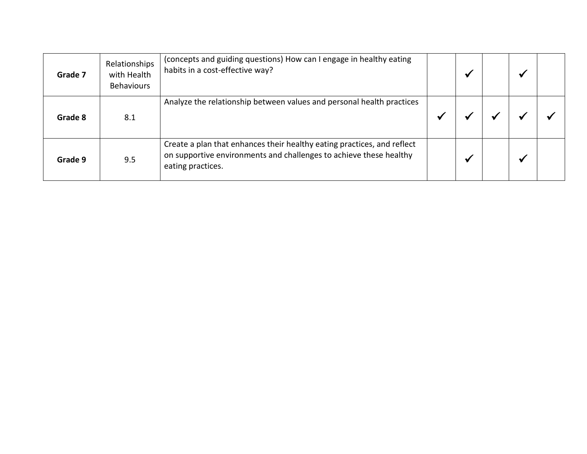| Grade 7 | Relationships<br>with Health<br><b>Behaviours</b> | (concepts and guiding questions) How can I engage in healthy eating<br>habits in a cost-effective way?                                                             |  |  |  |
|---------|---------------------------------------------------|--------------------------------------------------------------------------------------------------------------------------------------------------------------------|--|--|--|
| Grade 8 | 8.1                                               | Analyze the relationship between values and personal health practices                                                                                              |  |  |  |
| Grade 9 | 9.5                                               | Create a plan that enhances their healthy eating practices, and reflect<br>on supportive environments and challenges to achieve these healthy<br>eating practices. |  |  |  |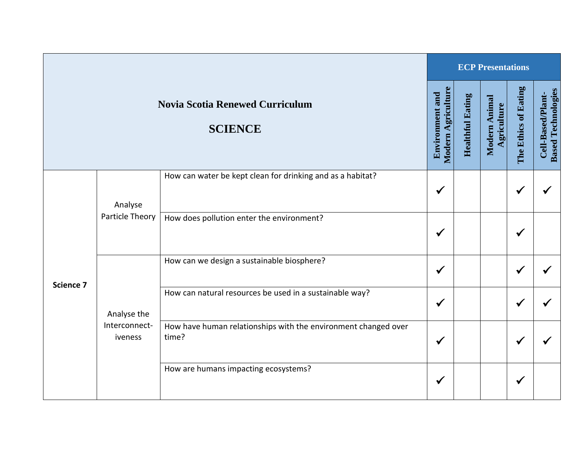|           |                                                                                                                        |                                                                         | <b>ECP Presentations</b> |                         |                              |                      |                                                |  |  |
|-----------|------------------------------------------------------------------------------------------------------------------------|-------------------------------------------------------------------------|--------------------------|-------------------------|------------------------------|----------------------|------------------------------------------------|--|--|
|           | <b>Novia Scotia Renewed Curriculum</b><br><b>SCIENCE</b><br>How can water be kept clean for drinking and as a habitat? |                                                                         |                          | <b>Healthful Eating</b> | Modern Animal<br>Agriculture | The Ethics of Eating | <b>Based Technologies</b><br>Cell-Based/Plant- |  |  |
| Science 7 | Analyse<br>Particle Theory                                                                                             |                                                                         | $\checkmark$             |                         |                              | ✔                    |                                                |  |  |
|           |                                                                                                                        | How does pollution enter the environment?                               | $\checkmark$             |                         |                              | ✔                    |                                                |  |  |
|           |                                                                                                                        | How can we design a sustainable biosphere?                              | $\checkmark$             |                         |                              |                      |                                                |  |  |
|           | Analyse the                                                                                                            | How can natural resources be used in a sustainable way?                 | $\checkmark$             |                         |                              |                      |                                                |  |  |
|           | Interconnect-<br>iveness                                                                                               | How have human relationships with the environment changed over<br>time? | $\checkmark$             |                         |                              |                      |                                                |  |  |
|           |                                                                                                                        | How are humans impacting ecosystems?                                    | $\checkmark$             |                         |                              | ✔                    |                                                |  |  |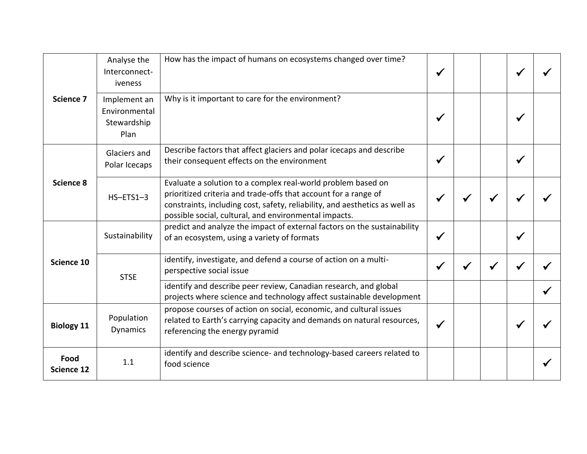|                           | Analyse the<br>Interconnect-<br>iveness              | How has the impact of humans on ecosystems changed over time?                                                                                                                                                                                                           |  |   |  |
|---------------------------|------------------------------------------------------|-------------------------------------------------------------------------------------------------------------------------------------------------------------------------------------------------------------------------------------------------------------------------|--|---|--|
| Science 7                 | Implement an<br>Environmental<br>Stewardship<br>Plan | Why is it important to care for the environment?                                                                                                                                                                                                                        |  |   |  |
|                           | Glaciers and<br>Polar Icecaps                        | Describe factors that affect glaciers and polar icecaps and describe<br>their consequent effects on the environment                                                                                                                                                     |  | √ |  |
| Science 8                 | $HS-ETS1-3$                                          | Evaluate a solution to a complex real-world problem based on<br>prioritized criteria and trade-offs that account for a range of<br>constraints, including cost, safety, reliability, and aesthetics as well as<br>possible social, cultural, and environmental impacts. |  |   |  |
|                           | Sustainability                                       | predict and analyze the impact of external factors on the sustainability<br>of an ecosystem, using a variety of formats                                                                                                                                                 |  |   |  |
| Science 10                | <b>STSE</b>                                          | identify, investigate, and defend a course of action on a multi-<br>perspective social issue                                                                                                                                                                            |  |   |  |
|                           |                                                      | identify and describe peer review, Canadian research, and global<br>projects where science and technology affect sustainable development                                                                                                                                |  |   |  |
| <b>Biology 11</b>         | Population<br><b>Dynamics</b>                        | propose courses of action on social, economic, and cultural issues<br>related to Earth's carrying capacity and demands on natural resources,<br>referencing the energy pyramid                                                                                          |  |   |  |
| Food<br><b>Science 12</b> | 1.1                                                  | identify and describe science- and technology-based careers related to<br>food science                                                                                                                                                                                  |  |   |  |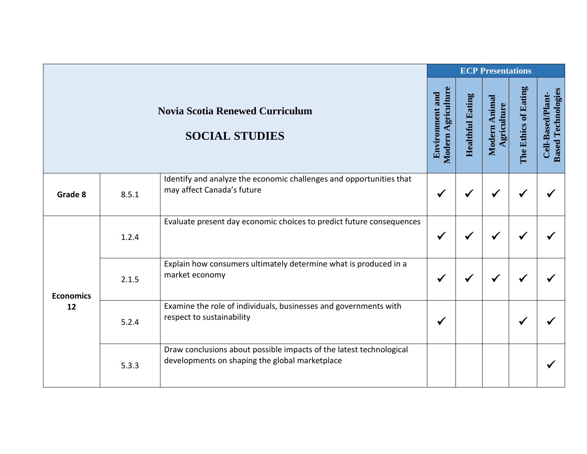|                        |                                                                                                                                        |                                                                                                                       | <b>ECP Presentations</b> |              |                              |                      |                                                |  |  |
|------------------------|----------------------------------------------------------------------------------------------------------------------------------------|-----------------------------------------------------------------------------------------------------------------------|--------------------------|--------------|------------------------------|----------------------|------------------------------------------------|--|--|
|                        | <b>Novia Scotia Renewed Curriculum</b><br><b>SOCIAL STUDIES</b><br>Identify and analyze the economic challenges and opportunities that |                                                                                                                       |                          |              | Modern Animal<br>Agriculture | The Ethics of Eating | <b>Based Technologies</b><br>Cell-Based/Plant- |  |  |
| Grade 8                | 8.5.1                                                                                                                                  | may affect Canada's future                                                                                            | $\checkmark$             | √            | ✔                            | $\checkmark$         |                                                |  |  |
| <b>Economics</b><br>12 | 1.2.4                                                                                                                                  | Evaluate present day economic choices to predict future consequences                                                  | $\checkmark$             | $\checkmark$ | ✔                            | √                    |                                                |  |  |
|                        | 2.1.5                                                                                                                                  | Explain how consumers ultimately determine what is produced in a<br>market economy                                    | ✔                        | √            | ✔                            |                      |                                                |  |  |
|                        | 5.2.4                                                                                                                                  | Examine the role of individuals, businesses and governments with<br>respect to sustainability                         | $\checkmark$             |              |                              | $\checkmark$         |                                                |  |  |
|                        | 5.3.3                                                                                                                                  | Draw conclusions about possible impacts of the latest technological<br>developments on shaping the global marketplace |                          |              |                              |                      |                                                |  |  |